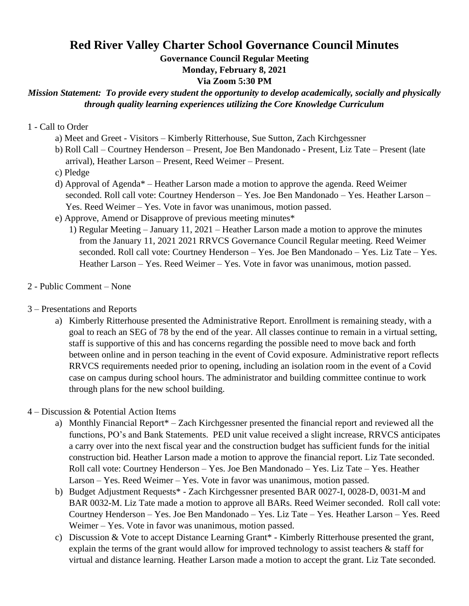## **Red River Valley Charter School Governance Council Minutes**

**Governance Council Regular Meeting**

**Monday, February 8, 2021**

**Via Zoom 5:30 PM** 

## *Mission Statement: To provide every student the opportunity to develop academically, socially and physically through quality learning experiences utilizing the Core Knowledge Curriculum*

## 1 - Call to Order

- a) Meet and Greet Visitors Kimberly Ritterhouse, Sue Sutton, Zach Kirchgessner
- b) Roll Call Courtney Henderson Present, Joe Ben Mandonado Present, Liz Tate Present (late arrival), Heather Larson – Present, Reed Weimer – Present.
- c) Pledge
- d) Approval of Agenda\* Heather Larson made a motion to approve the agenda. Reed Weimer seconded. Roll call vote: Courtney Henderson – Yes. Joe Ben Mandonado – Yes. Heather Larson – Yes. Reed Weimer – Yes. Vote in favor was unanimous, motion passed.
- e) Approve, Amend or Disapprove of previous meeting minutes\*
	- 1) Regular Meeting January 11, 2021 Heather Larson made a motion to approve the minutes from the January 11, 2021 2021 RRVCS Governance Council Regular meeting. Reed Weimer seconded. Roll call vote: Courtney Henderson – Yes. Joe Ben Mandonado – Yes. Liz Tate – Yes. Heather Larson – Yes. Reed Weimer – Yes. Vote in favor was unanimous, motion passed.
- 2 Public Comment None
- 3 Presentations and Reports
	- a) Kimberly Ritterhouse presented the Administrative Report. Enrollment is remaining steady, with a goal to reach an SEG of 78 by the end of the year. All classes continue to remain in a virtual setting, staff is supportive of this and has concerns regarding the possible need to move back and forth between online and in person teaching in the event of Covid exposure. Administrative report reflects RRVCS requirements needed prior to opening, including an isolation room in the event of a Covid case on campus during school hours. The administrator and building committee continue to work through plans for the new school building.
- 4 Discussion & Potential Action Items
	- a) Monthly Financial Report\* Zach Kirchgessner presented the financial report and reviewed all the functions, PO's and Bank Statements. PED unit value received a slight increase, RRVCS anticipates a carry over into the next fiscal year and the construction budget has sufficient funds for the initial construction bid. Heather Larson made a motion to approve the financial report. Liz Tate seconded. Roll call vote: Courtney Henderson – Yes. Joe Ben Mandonado – Yes. Liz Tate – Yes. Heather Larson – Yes. Reed Weimer – Yes. Vote in favor was unanimous, motion passed.
	- b) Budget Adjustment Requests\* Zach Kirchgessner presented BAR 0027-I, 0028-D, 0031-M and BAR 0032-M. Liz Tate made a motion to approve all BARs. Reed Weimer seconded. Roll call vote: Courtney Henderson – Yes. Joe Ben Mandonado – Yes. Liz Tate – Yes. Heather Larson – Yes. Reed Weimer – Yes. Vote in favor was unanimous, motion passed.
	- c) Discussion & Vote to accept Distance Learning Grant\* Kimberly Ritterhouse presented the grant, explain the terms of the grant would allow for improved technology to assist teachers  $\&$  staff for virtual and distance learning. Heather Larson made a motion to accept the grant. Liz Tate seconded.